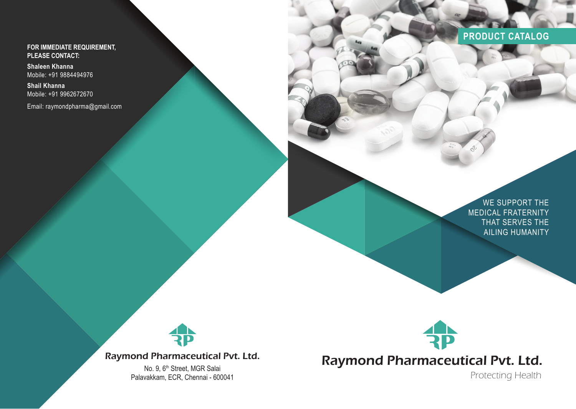**FOR IMMEDIATE REQUIREMENT, PLEASE CONTACT:**

**Shaleen Khanna** Mobile: +91 9884494976

**Shail Khanna** Mobile: +91 9962672670

Email: raymondpharma@gmail.com



WE SUPPORT THE MEDICAL FRATERNITY THAT SERVES THE AILING HUMANITY



Raymond Pharmaceutical Pvt. Ltd.

No. 9, 6<sup>th</sup> Street, MGR Salai Palavakkam, ECR, Chennai - 600041



Raymond Pharmaceutical Pvt. Ltd.

Protecting Health